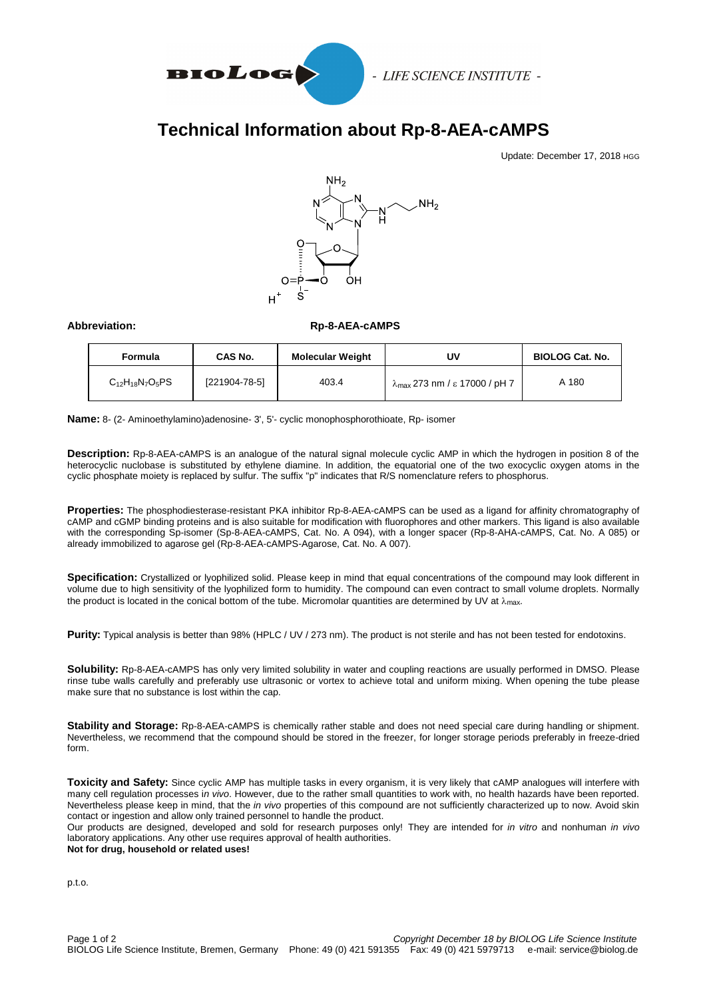

- LIFE SCIENCE INSTITUTE -

## **Technical Information about Rp-8-AEA-cAMPS**

Update: December 17, 2018 HGG



## **Abbreviation: Rp-8-AEA-cAMPS**

| Formula                | CAS No.       | <b>Molecular Weight</b> | UV                                             | <b>BIOLOG Cat. No.</b> |
|------------------------|---------------|-------------------------|------------------------------------------------|------------------------|
| $C_{12}H_{18}N_7O_5PS$ | [221904-78-5] | 403.4                   | $\lambda_{\text{max}}$ 273 nm / ε 17000 / pH 7 | A 180                  |

**Name:** 8- (2- Aminoethylamino)adenosine- 3', 5'- cyclic monophosphorothioate, Rp- isomer

**Description:** Rp-8-AEA-cAMPS is an analogue of the natural signal molecule cyclic AMP in which the hydrogen in position 8 of the heterocyclic nuclobase is substituted by ethylene diamine. In addition, the equatorial one of the two exocyclic oxygen atoms in the cyclic phosphate moiety is replaced by sulfur. The suffix "p" indicates that R/S nomenclature refers to phosphorus.

**Properties:** The phosphodiesterase-resistant PKA inhibitor Rp-8-AEA-cAMPS can be used as a ligand for affinity chromatography of cAMP and cGMP binding proteins and is also suitable for modification with fluorophores and other markers. This ligand is also available with the corresponding Sp-isomer (Sp-8-AEA-cAMPS, Cat. No. A 094), with a longer spacer (Rp-8-AHA-cAMPS, Cat. No. A 085) or already immobilized to agarose gel (Rp-8-AEA-cAMPS-Agarose, Cat. No. A 007).

**Specification:** Crystallized or lyophilized solid. Please keep in mind that equal concentrations of the compound may look different in volume due to high sensitivity of the lyophilized form to humidity. The compound can even contract to small volume droplets. Normally the product is located in the conical bottom of the tube. Micromolar quantities are determined by UV at  $\lambda_{\text{max}}$ .

**Purity:** Typical analysis is better than 98% (HPLC / UV / 273 nm). The product is not sterile and has not been tested for endotoxins.

**Solubility:** Rp-8-AEA-cAMPS has only very limited solubility in water and coupling reactions are usually performed in DMSO. Please rinse tube walls carefully and preferably use ultrasonic or vortex to achieve total and uniform mixing. When opening the tube please make sure that no substance is lost within the cap.

**Stability and Storage:** Rp-8-AEA-cAMPS is chemically rather stable and does not need special care during handling or shipment. Nevertheless, we recommend that the compound should be stored in the freezer, for longer storage periods preferably in freeze-dried form.

**Toxicity and Safety:** Since cyclic AMP has multiple tasks in every organism, it is very likely that cAMP analogues will interfere with many cell regulation processes i*n vivo*. However, due to the rather small quantities to work with, no health hazards have been reported. Nevertheless please keep in mind, that the *in vivo* properties of this compound are not sufficiently characterized up to now. Avoid skin contact or ingestion and allow only trained personnel to handle the product.

Our products are designed, developed and sold for research purposes only! They are intended for *in vitro* and nonhuman *in vivo* laboratory applications. Any other use requires approval of health authorities. **Not for drug, household or related uses!**

p.t.o.